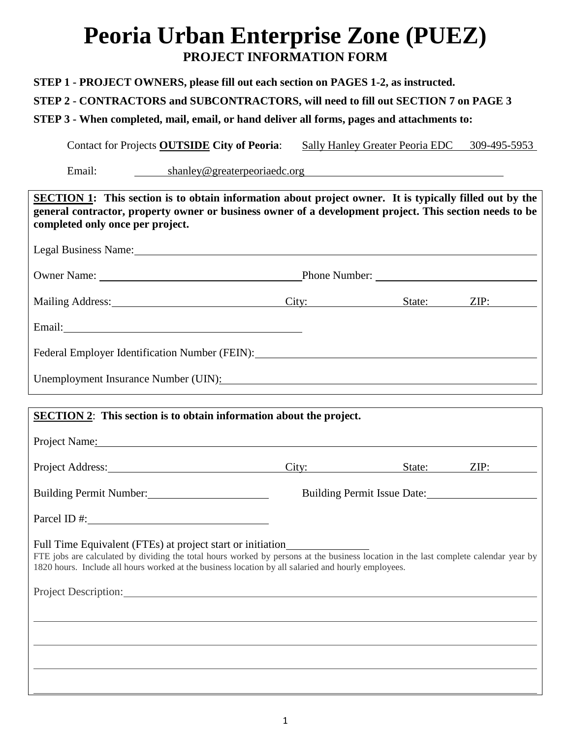## **Peoria Urban Enterprise Zone (PUEZ) PROJECT INFORMATION FORM**

**STEP 1 - PROJECT OWNERS, please fill out each section on PAGES 1-2, as instructed.** 

**STEP 2 - CONTRACTORS and SUBCONTRACTORS, will need to fill out SECTION 7 on PAGE 3**

**STEP 3 - When completed, mail, email, or hand deliver all forms, pages and attachments to:** 

Contact for Projects **OUTSIDE** City of Peoria: Sally Hanley Greater Peoria EDC 309-495-5953

Email: shanley@greaterpeoriaedc.org

| <b>SECTION 1:</b> This section is to obtain information about project owner. It is typically filled out by the<br>general contractor, property owner or business owner of a development project. This section needs to be<br>completed only once per project.                                                                                                                                                                                                                                                                                                     |                             |  |  |  |  |
|-------------------------------------------------------------------------------------------------------------------------------------------------------------------------------------------------------------------------------------------------------------------------------------------------------------------------------------------------------------------------------------------------------------------------------------------------------------------------------------------------------------------------------------------------------------------|-----------------------------|--|--|--|--|
| Legal Business Name: 1988 Contract Contract Contract Contract Contract Contract Contract Contract Contract Contract Contract Contract Contract Contract Contract Contract Contract Contract Contract Contract Contract Contrac                                                                                                                                                                                                                                                                                                                                    |                             |  |  |  |  |
|                                                                                                                                                                                                                                                                                                                                                                                                                                                                                                                                                                   |                             |  |  |  |  |
| Mailing Address: City: State: ZIP:                                                                                                                                                                                                                                                                                                                                                                                                                                                                                                                                |                             |  |  |  |  |
|                                                                                                                                                                                                                                                                                                                                                                                                                                                                                                                                                                   |                             |  |  |  |  |
| Federal Employer Identification Number (FEIN): North American Section 1 and 2008.                                                                                                                                                                                                                                                                                                                                                                                                                                                                                 |                             |  |  |  |  |
| Unemployment Insurance Number (UIN): Chamber (UIN) and the state of the state of the state of the state of the state of the state of the state of the state of the state of the state of the state of the state of the state o                                                                                                                                                                                                                                                                                                                                    |                             |  |  |  |  |
|                                                                                                                                                                                                                                                                                                                                                                                                                                                                                                                                                                   |                             |  |  |  |  |
| <b>SECTION 2:</b> This section is to obtain information about the project.                                                                                                                                                                                                                                                                                                                                                                                                                                                                                        |                             |  |  |  |  |
| Project Name: Name and Allen Contract Contract Contract Contract Contract Contract Contract Contract Contract Contract Contract Contract Contract Contract Contract Contract Contract Contract Contract Contract Contract Cont                                                                                                                                                                                                                                                                                                                                    |                             |  |  |  |  |
| Project Address: City: State: ZIP:                                                                                                                                                                                                                                                                                                                                                                                                                                                                                                                                |                             |  |  |  |  |
| Building Permit Number:                                                                                                                                                                                                                                                                                                                                                                                                                                                                                                                                           | Building Permit Issue Date: |  |  |  |  |
| Parcel ID #:                                                                                                                                                                                                                                                                                                                                                                                                                                                                                                                                                      |                             |  |  |  |  |
| Full Time Equivalent (FTEs) at project start or initiation______________________<br>FTE jobs are calculated by dividing the total hours worked by persons at the business location in the last complete calendar year by<br>1820 hours. Include all hours worked at the business location by all salaried and hourly employees.<br>Project Description: New York Changes and Security and Security and Security and Security and Security and Security and Security and Security and Security and Security and Security and Security and Security and Security an |                             |  |  |  |  |
|                                                                                                                                                                                                                                                                                                                                                                                                                                                                                                                                                                   |                             |  |  |  |  |
|                                                                                                                                                                                                                                                                                                                                                                                                                                                                                                                                                                   |                             |  |  |  |  |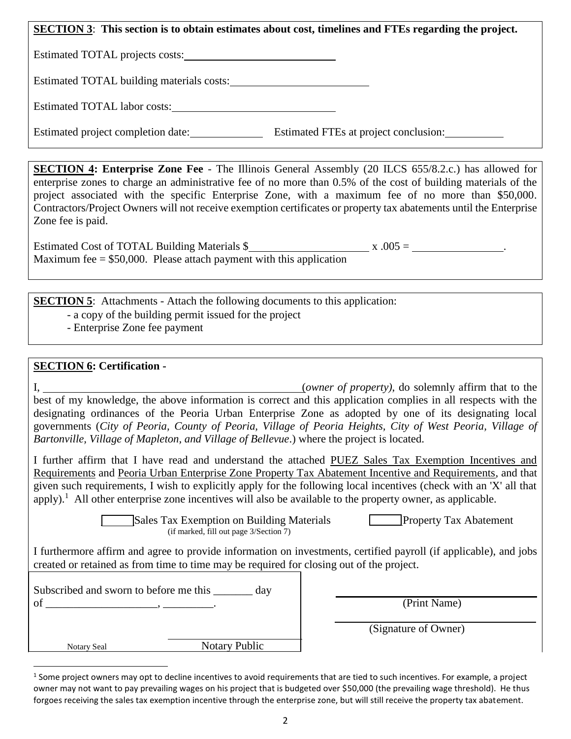| <b>SECTION 3:</b> This section is to obtain estimates about cost, timelines and FTEs regarding the project. |  |  |  |  |
|-------------------------------------------------------------------------------------------------------------|--|--|--|--|
| Estimated TOTAL projects costs:                                                                             |  |  |  |  |
| Estimated TOTAL building materials costs:                                                                   |  |  |  |  |
| Estimated TOTAL labor costs:                                                                                |  |  |  |  |
| Estimated FTEs at project conclusion:<br>Estimated project completion date:                                 |  |  |  |  |

**SECTION 4: Enterprise Zone Fee** - The Illinois General Assembly (20 ILCS 655/8.2.c.) has allowed for enterprise zones to charge an administrative fee of no more than 0.5% of the cost of building materials of the project associated with the specific Enterprise Zone, with a maximum fee of no more than \$50,000. Contractors/Project Owners will not receive exemption certificates or property tax abatements until the Enterprise Zone fee is paid.

| Estimated Cost of TOTAL Building Materials \$ |                                                                       | $\bar{x}$ .005 = |  |
|-----------------------------------------------|-----------------------------------------------------------------------|------------------|--|
|                                               | Maximum fee $= $50,000$ . Please attach payment with this application |                  |  |

**SECTION 5:** Attachments - Attach the following documents to this application:

- a copy of the building permit issued for the project
- Enterprise Zone fee payment

## **SECTION 6: Certification -**

 $\overline{a}$ 

I, (*owner of property)*, do solemnly affirm that to the best of my knowledge, the above information is correct and this application complies in all respects with the designating ordinances of the Peoria Urban Enterprise Zone as adopted by one of its designating local governments (*City of Peoria, County of Peoria, Village of Peoria Heights, City of West Peoria, Village of Bartonville, Village of Mapleton, and Village of Bellevue*.) where the project is located.

I further affirm that I have read and understand the attached PUEZ Sales Tax Exemption Incentives and Requirements and Peoria Urban Enterprise Zone Property Tax Abatement Incentive and Requirements, and that given such requirements, I wish to explicitly apply for the following local incentives (check with an 'X' all that apply).<sup>1</sup> All other enterprise zone incentives will also be available to the property owner, as applicable.

> Sales Tax Exemption on Building Materials Property Tax Abatement (if marked, fill out page 3/Section 7)

I furthermore affirm and agree to provide information on investments, certified payroll (if applicable), and jobs created or retained as from time to time may be required for closing out of the project.

| Subscribed and sworn to before me this | dav                  |
|----------------------------------------|----------------------|
| of                                     |                      |
|                                        |                      |
|                                        |                      |
| <b>Notary Seal</b>                     | <b>Notary Public</b> |

 $(Print$  Name)

(Signature of Owner)

<sup>&</sup>lt;sup>1</sup> Some project owners may opt to decline incentives to avoid requirements that are tied to such incentives. For example, a project owner may not want to pay prevailing wages on his project that is budgeted over \$50,000 (the prevailing wage threshold). He thus forgoes receiving the sales tax exemption incentive through the enterprise zone, but will still receive the property tax abatement.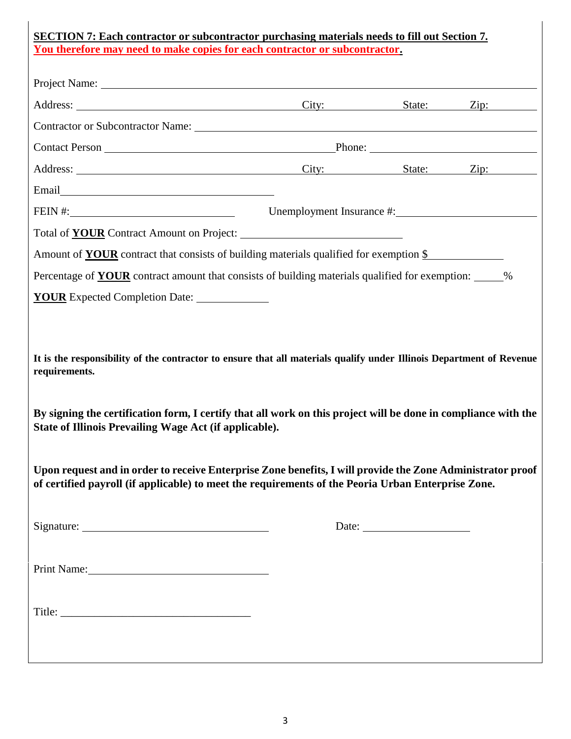| <b>SECTION 7: Each contractor or subcontractor purchasing materials needs to fill out Section 7.</b><br>You therefore may need to make copies for each contractor or subcontractor.                                                                                                                               |                                                             |  |  |  |
|-------------------------------------------------------------------------------------------------------------------------------------------------------------------------------------------------------------------------------------------------------------------------------------------------------------------|-------------------------------------------------------------|--|--|--|
|                                                                                                                                                                                                                                                                                                                   |                                                             |  |  |  |
| Address: <u>City: State: Zip:</u>                                                                                                                                                                                                                                                                                 |                                                             |  |  |  |
|                                                                                                                                                                                                                                                                                                                   |                                                             |  |  |  |
|                                                                                                                                                                                                                                                                                                                   |                                                             |  |  |  |
| Address: <u>City: State: Zip:</u>                                                                                                                                                                                                                                                                                 |                                                             |  |  |  |
|                                                                                                                                                                                                                                                                                                                   |                                                             |  |  |  |
|                                                                                                                                                                                                                                                                                                                   | FEIN #: Unemployment Insurance #: Unemployment Insurance #: |  |  |  |
|                                                                                                                                                                                                                                                                                                                   |                                                             |  |  |  |
| Amount of <b>YOUR</b> contract that consists of building materials qualified for exemption \$                                                                                                                                                                                                                     |                                                             |  |  |  |
| Percentage of <b>YOUR</b> contract amount that consists of building materials qualified for exemption: ______%                                                                                                                                                                                                    |                                                             |  |  |  |
| <b>YOUR</b> Expected Completion Date:                                                                                                                                                                                                                                                                             |                                                             |  |  |  |
| It is the responsibility of the contractor to ensure that all materials qualify under Illinois Department of Revenue<br>requirements.<br>By signing the certification form, I certify that all work on this project will be done in compliance with the<br>State of Illinois Prevailing Wage Act (if applicable). |                                                             |  |  |  |
| Upon request and in order to receive Enterprise Zone benefits, I will provide the Zone Administrator proof<br>of certified payroll (if applicable) to meet the requirements of the Peoria Urban Enterprise Zone.                                                                                                  |                                                             |  |  |  |
|                                                                                                                                                                                                                                                                                                                   |                                                             |  |  |  |
|                                                                                                                                                                                                                                                                                                                   |                                                             |  |  |  |
| Print Name:                                                                                                                                                                                                                                                                                                       |                                                             |  |  |  |
|                                                                                                                                                                                                                                                                                                                   |                                                             |  |  |  |
|                                                                                                                                                                                                                                                                                                                   |                                                             |  |  |  |
|                                                                                                                                                                                                                                                                                                                   |                                                             |  |  |  |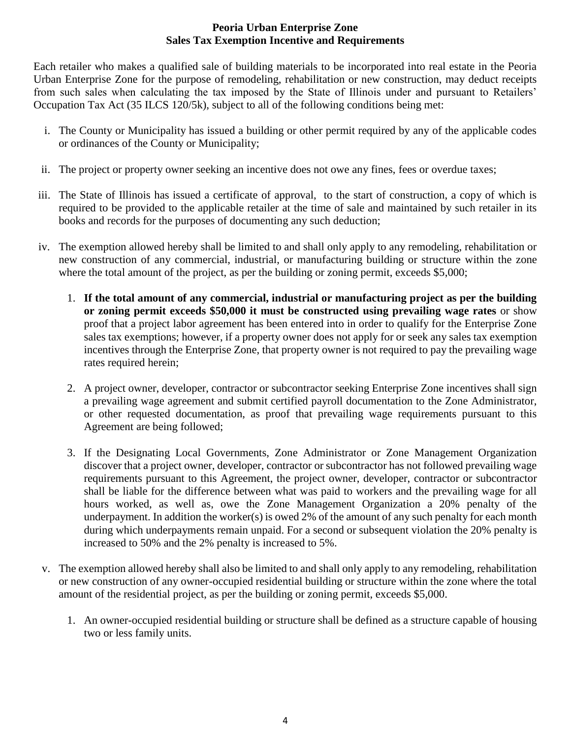## **Peoria Urban Enterprise Zone Sales Tax Exemption Incentive and Requirements**

Each retailer who makes a qualified sale of building materials to be incorporated into real estate in the Peoria Urban Enterprise Zone for the purpose of remodeling, rehabilitation or new construction, may deduct receipts from such sales when calculating the tax imposed by the State of Illinois under and pursuant to Retailers' Occupation Tax Act (35 ILCS 120/5k), subject to all of the following conditions being met:

- i. The County or Municipality has issued a building or other permit required by any of the applicable codes or ordinances of the County or Municipality;
- ii. The project or property owner seeking an incentive does not owe any fines, fees or overdue taxes;
- iii. The State of Illinois has issued a certificate of approval, to the start of construction, a copy of which is required to be provided to the applicable retailer at the time of sale and maintained by such retailer in its books and records for the purposes of documenting any such deduction;
- iv. The exemption allowed hereby shall be limited to and shall only apply to any remodeling, rehabilitation or new construction of any commercial, industrial, or manufacturing building or structure within the zone where the total amount of the project, as per the building or zoning permit, exceeds \$5,000;
	- 1. **If the total amount of any commercial, industrial or manufacturing project as per the building or zoning permit exceeds \$50,000 it must be constructed using prevailing wage rates** or show proof that a project labor agreement has been entered into in order to qualify for the Enterprise Zone sales tax exemptions; however, if a property owner does not apply for or seek any sales tax exemption incentives through the Enterprise Zone, that property owner is not required to pay the prevailing wage rates required herein;
	- 2. A project owner, developer, contractor or subcontractor seeking Enterprise Zone incentives shall sign a prevailing wage agreement and submit certified payroll documentation to the Zone Administrator, or other requested documentation, as proof that prevailing wage requirements pursuant to this Agreement are being followed;
	- 3. If the Designating Local Governments, Zone Administrator or Zone Management Organization discover that a project owner, developer, contractor or subcontractor has not followed prevailing wage requirements pursuant to this Agreement, the project owner, developer, contractor or subcontractor shall be liable for the difference between what was paid to workers and the prevailing wage for all hours worked, as well as, owe the Zone Management Organization a 20% penalty of the underpayment. In addition the worker(s) is owed 2% of the amount of any such penalty for each month during which underpayments remain unpaid. For a second or subsequent violation the 20% penalty is increased to 50% and the 2% penalty is increased to 5%.
- v. The exemption allowed hereby shall also be limited to and shall only apply to any remodeling, rehabilitation or new construction of any owner-occupied residential building or structure within the zone where the total amount of the residential project, as per the building or zoning permit, exceeds \$5,000.
	- 1. An owner-occupied residential building or structure shall be defined as a structure capable of housing two or less family units.